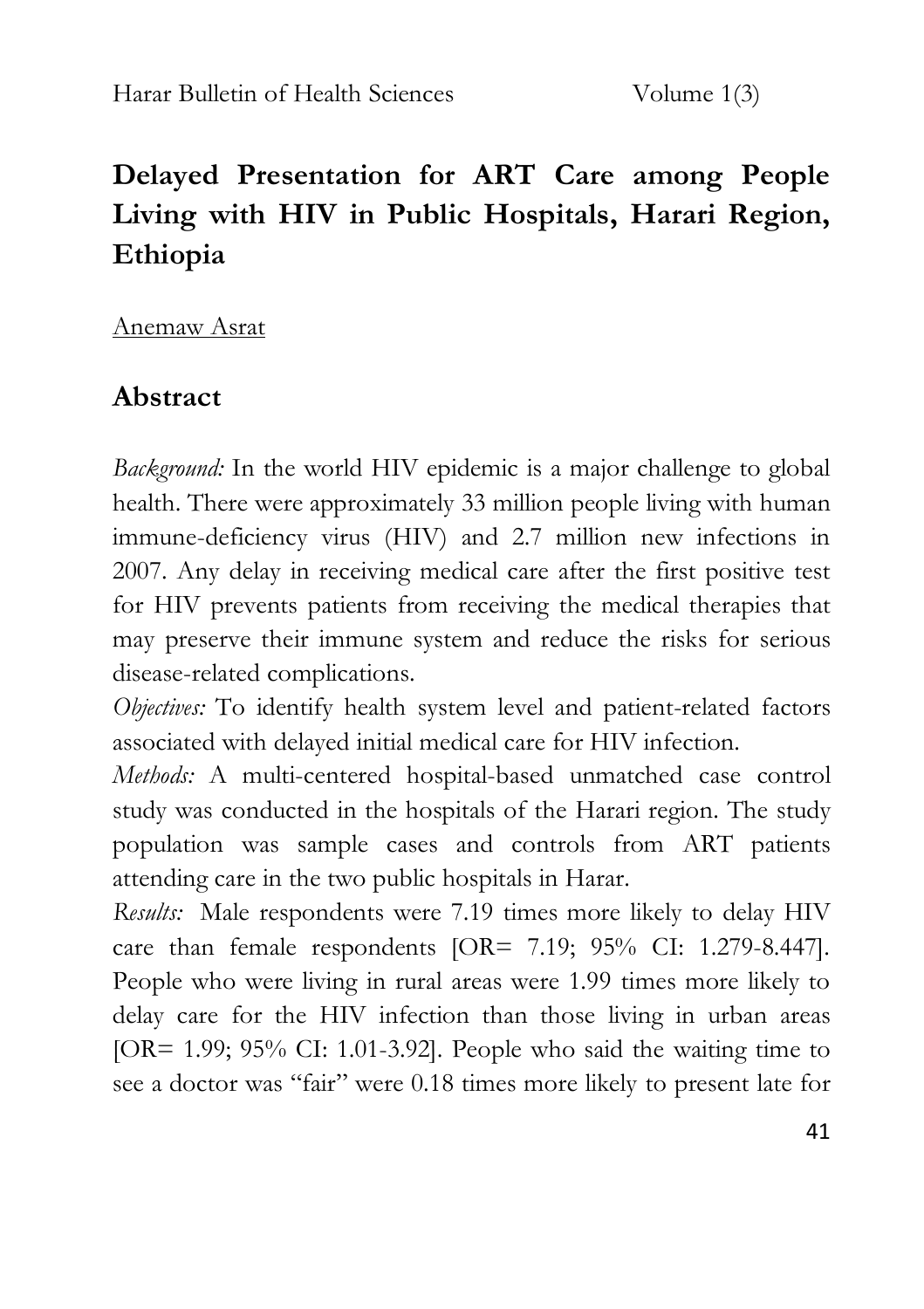# **Delayed Presentation for ART Care among People Living with HIV in Public Hospitals, Harari Region, Ethiopia**

Anemaw Asrat

### **Abstract**

*Background:* In the world HIV epidemic is a major challenge to global health. There were approximately 33 million people living with human immune-deficiency virus (HIV) and 2.7 million new infections in 2007. Any delay in receiving medical care after the first positive test for HIV prevents patients from receiving the medical therapies that may preserve their immune system and reduce the risks for serious disease-related complications.

*Objectives:* To identify health system level and patient-related factors associated with delayed initial medical care for HIV infection.

*Methods:* A multi-centered hospital-based unmatched case control study was conducted in the hospitals of the Harari region. The study population was sample cases and controls from ART patients attending care in the two public hospitals in Harar.

*Results:* Male respondents were 7.19 times more likely to delay HIV care than female respondents [OR= 7.19; 95% CI: 1.279-8.447]. People who were living in rural areas were 1.99 times more likely to delay care for the HIV infection than those living in urban areas [OR= 1.99; 95% CI: 1.01-3.92]. People who said the waiting time to see a doctor was "fair" were 0.18 times more likely to present late for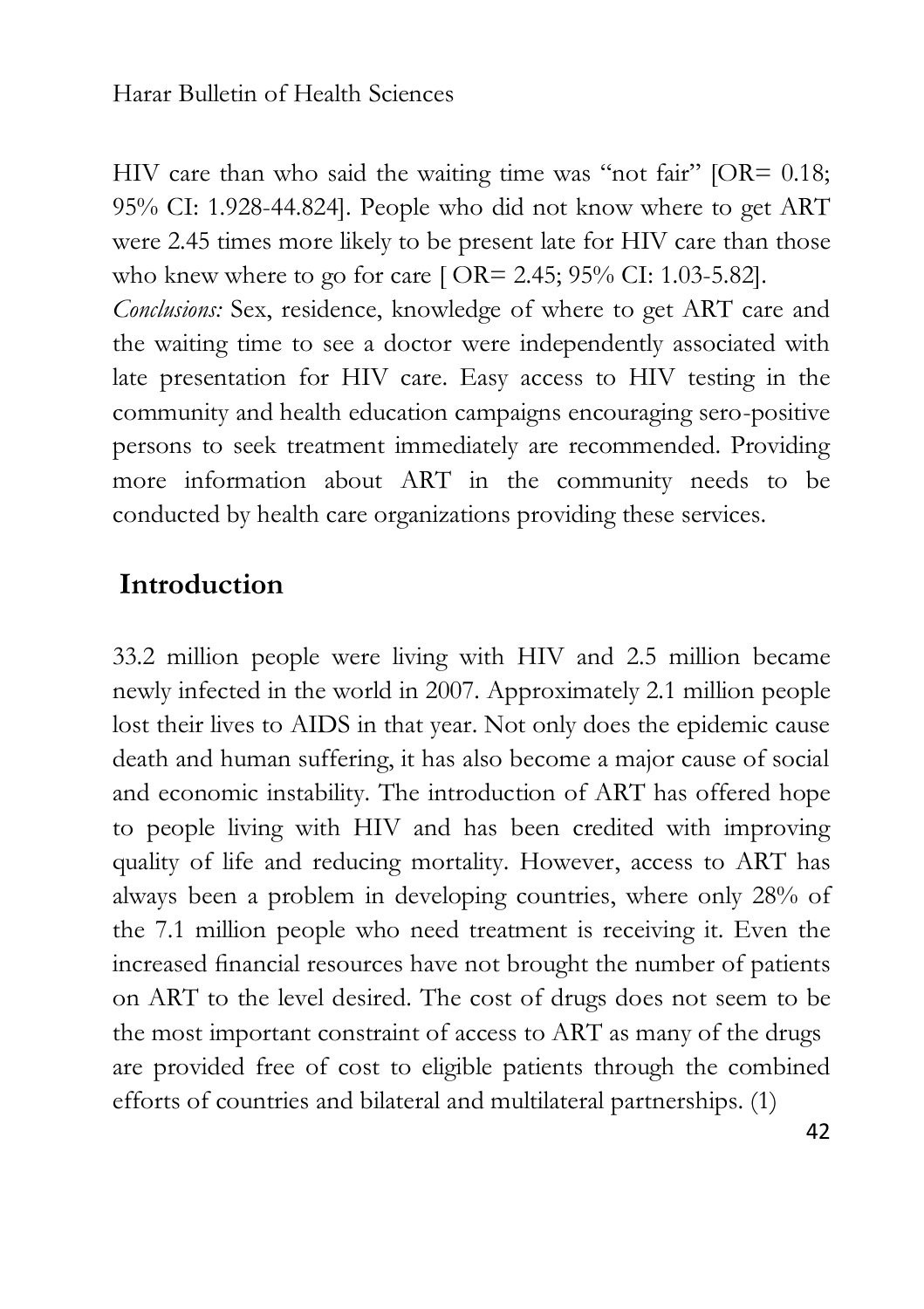HIV care than who said the waiting time was "not fair" [OR= 0.18; 95% CI: 1.928-44.824]. People who did not know where to get ART were 2.45 times more likely to be present late for HIV care than those who knew where to go for care [ OR= 2.45; 95% CI: 1.03-5.82].

*Conclusions:* Sex, residence, knowledge of where to get ART care and the waiting time to see a doctor were independently associated with late presentation for HIV care. Easy access to HIV testing in the community and health education campaigns encouraging sero-positive persons to seek treatment immediately are recommended. Providing more information about ART in the community needs to be conducted by health care organizations providing these services.

### **Introduction**

33.2 million people were living with HIV and 2.5 million became newly infected in the world in 2007. Approximately 2.1 million people lost their lives to AIDS in that year. Not only does the epidemic cause death and human suffering, it has also become a major cause of social and economic instability. The introduction of ART has offered hope to people living with HIV and has been credited with improving quality of life and reducing mortality. However, access to ART has always been a problem in developing countries, where only 28% of the 7.1 million people who need treatment is receiving it. Even the increased financial resources have not brought the number of patients on ART to the level desired. The cost of drugs does not seem to be the most important constraint of access to ART as many of the drugs are provided free of cost to eligible patients through the combined efforts of countries and bilateral and multilateral partnerships. (1)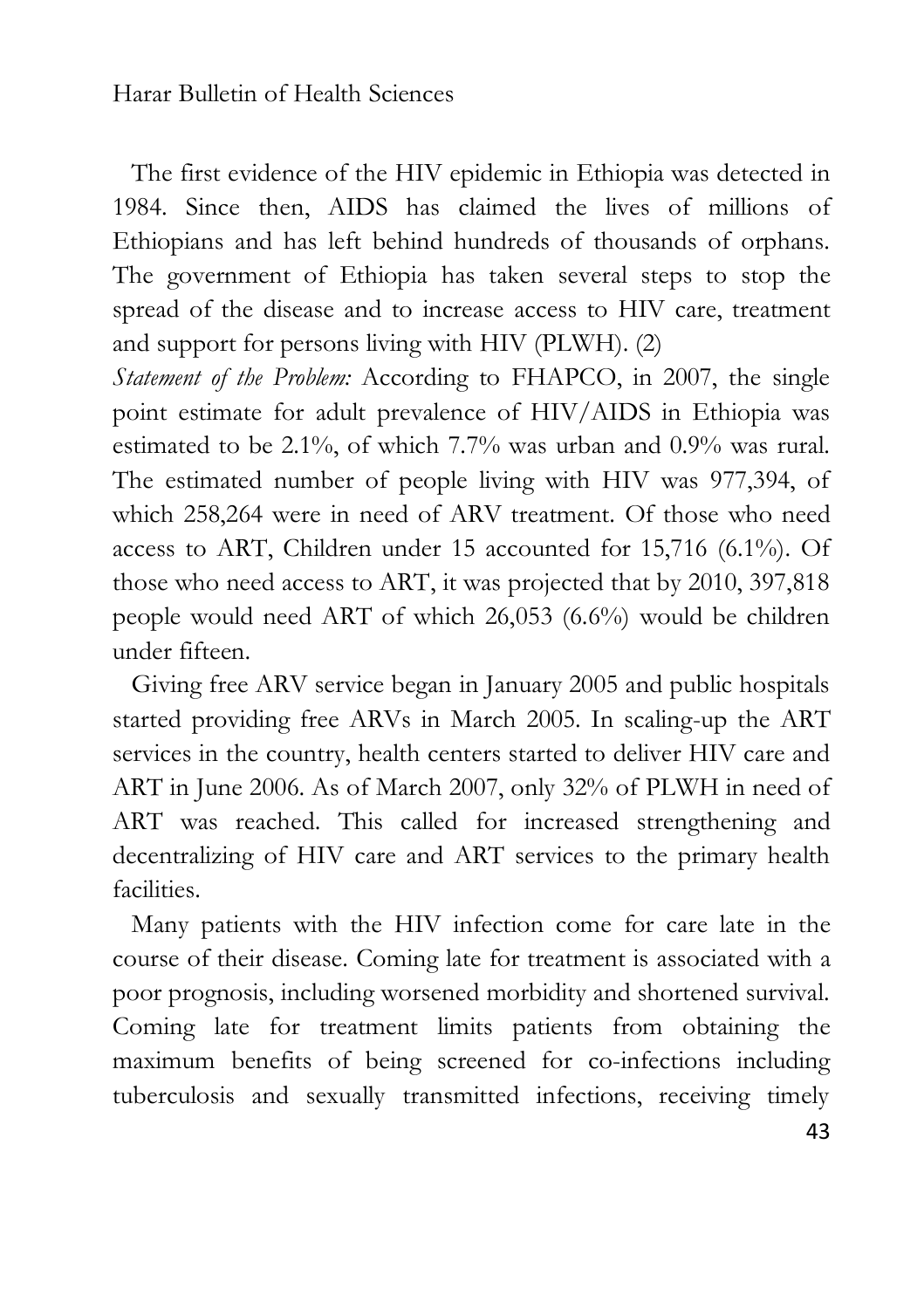The first evidence of the HIV epidemic in Ethiopia was detected in 1984. Since then, AIDS has claimed the lives of millions of Ethiopians and has left behind hundreds of thousands of orphans. The government of Ethiopia has taken several steps to stop the spread of the disease and to increase access to HIV care, treatment and support for persons living with HIV (PLWH). (2)

*Statement of the Problem:* According to FHAPCO, in 2007, the single point estimate for adult prevalence of HIV/AIDS in Ethiopia was estimated to be 2.1%, of which 7.7% was urban and 0.9% was rural. The estimated number of people living with HIV was 977,394, of which 258,264 were in need of ARV treatment. Of those who need access to ART, Children under 15 accounted for 15,716 (6.1%). Of those who need access to ART, it was projected that by 2010, 397,818 people would need ART of which 26,053 (6.6%) would be children under fifteen.

 Giving free ARV service began in January 2005 and public hospitals started providing free ARVs in March 2005. In scaling-up the ART services in the country, health centers started to deliver HIV care and ART in June 2006. As of March 2007, only 32% of PLWH in need of ART was reached. This called for increased strengthening and decentralizing of HIV care and ART services to the primary health facilities.

 Many patients with the HIV infection come for care late in the course of their disease. Coming late for treatment is associated with a poor prognosis, including worsened morbidity and shortened survival. Coming late for treatment limits patients from obtaining the maximum benefits of being screened for co-infections including tuberculosis and sexually transmitted infections, receiving timely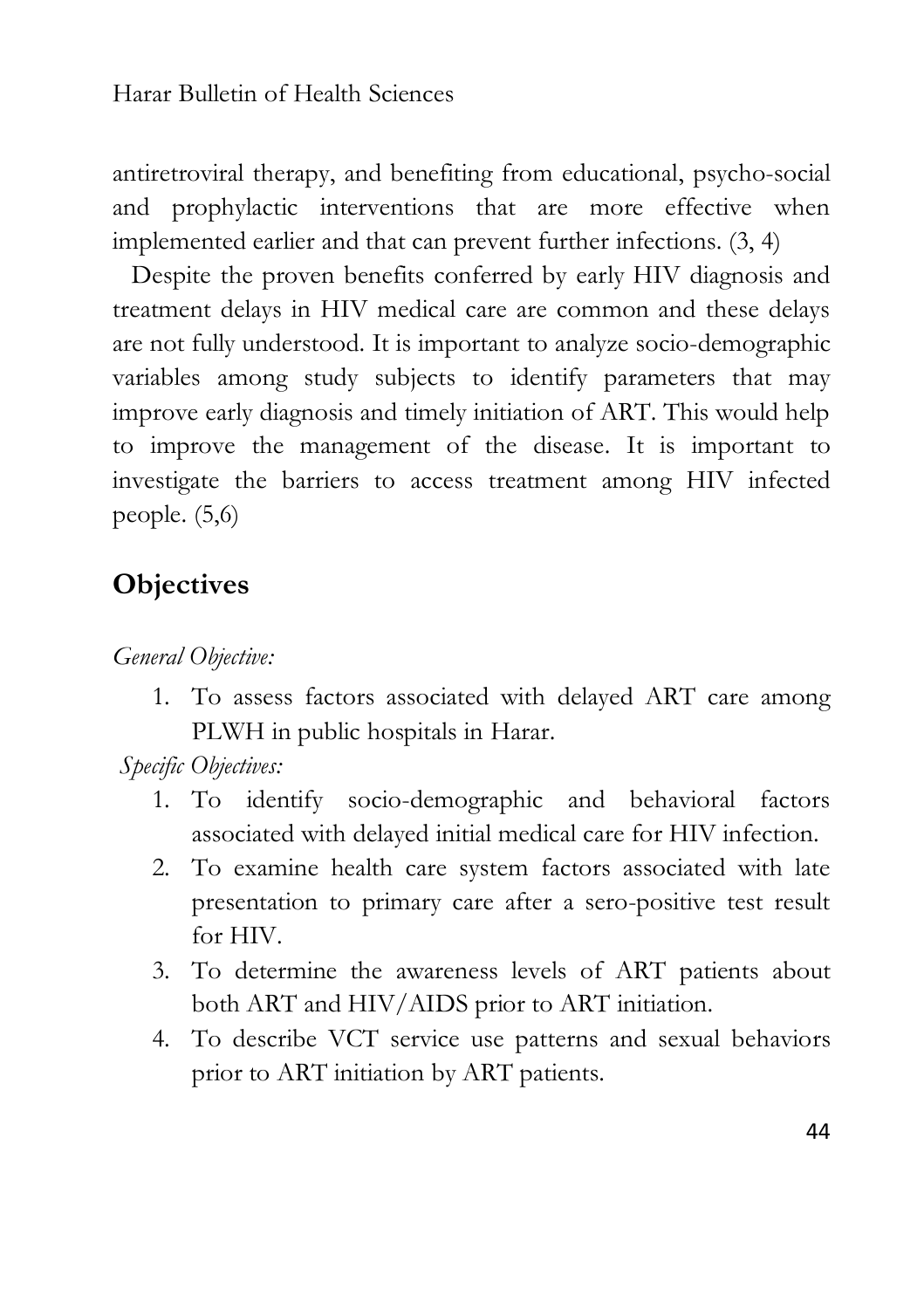antiretroviral therapy, and benefiting from educational, psycho-social and prophylactic interventions that are more effective when implemented earlier and that can prevent further infections. (3, 4)

 Despite the proven benefits conferred by early HIV diagnosis and treatment delays in HIV medical care are common and these delays are not fully understood. It is important to analyze socio-demographic variables among study subjects to identify parameters that may improve early diagnosis and timely initiation of ART. This would help to improve the management of the disease. It is important to investigate the barriers to access treatment among HIV infected people. (5,6)

### **Objectives**

*General Objective:*

1. To assess factors associated with delayed ART care among PLWH in public hospitals in Harar.

*Specific Objectives:*

- 1. To identify socio-demographic and behavioral factors associated with delayed initial medical care for HIV infection.
- 2. To examine health care system factors associated with late presentation to primary care after a sero-positive test result for HIV.
- 3. To determine the awareness levels of ART patients about both ART and HIV/AIDS prior to ART initiation.
- 4. To describe VCT service use patterns and sexual behaviors prior to ART initiation by ART patients.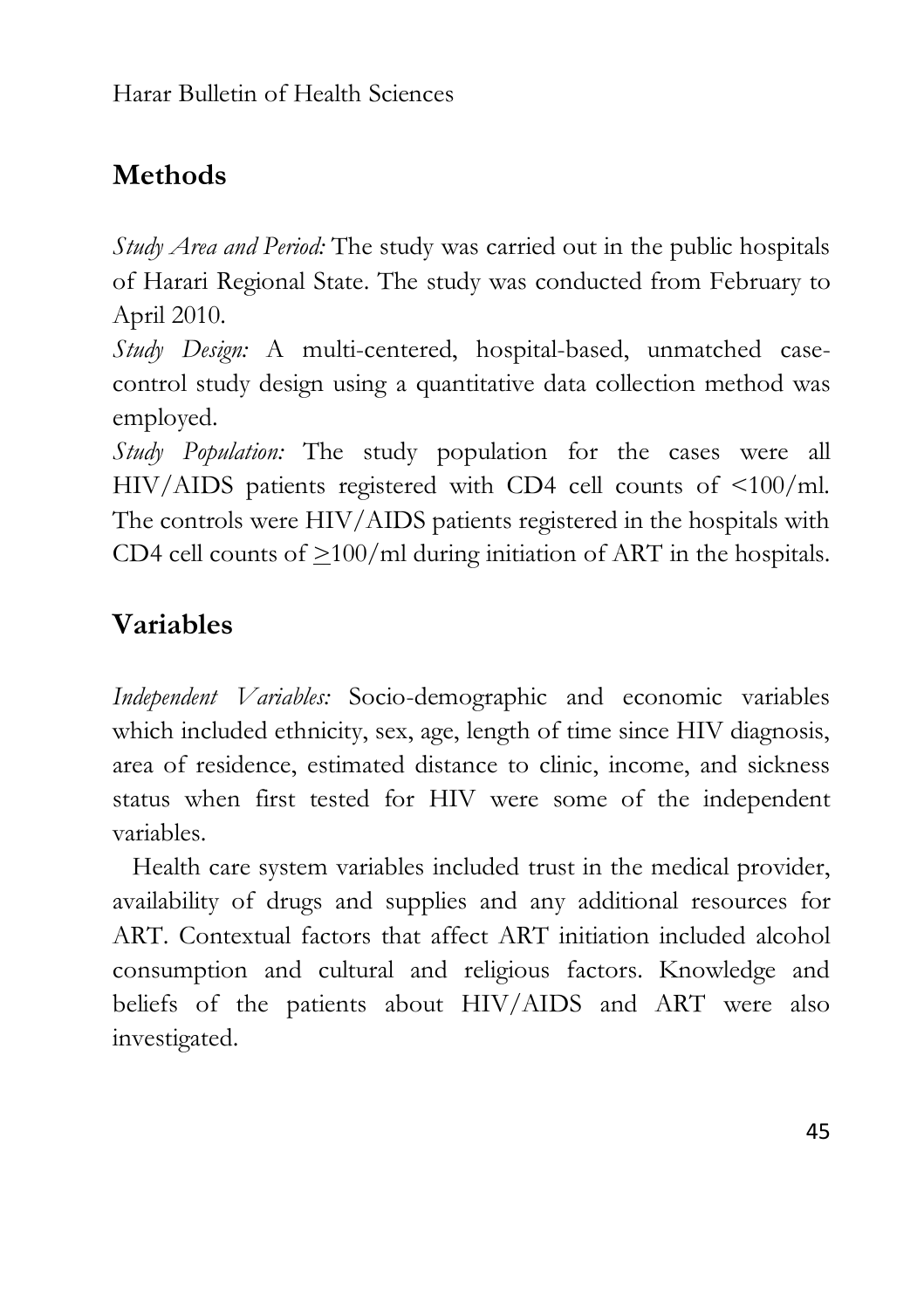## **Methods**

*Study Area and Period:* The study was carried out in the public hospitals of Harari Regional State. The study was conducted from February to April 2010.

*Study Design:* A multi-centered, hospital-based, unmatched casecontrol study design using a quantitative data collection method was employed.

*Study Population:* The study population for the cases were all HIV/AIDS patients registered with CD4 cell counts of <100/ml. The controls were HIV/AIDS patients registered in the hospitals with CD4 cell counts of  $\geq$ 100/ml during initiation of ART in the hospitals.

## **Variables**

*Independent Variables:* Socio-demographic and economic variables which included ethnicity, sex, age, length of time since HIV diagnosis, area of residence, estimated distance to clinic, income, and sickness status when first tested for HIV were some of the independent variables.

 Health care system variables included trust in the medical provider, availability of drugs and supplies and any additional resources for ART. Contextual factors that affect ART initiation included alcohol consumption and cultural and religious factors. Knowledge and beliefs of the patients about HIV/AIDS and ART were also investigated.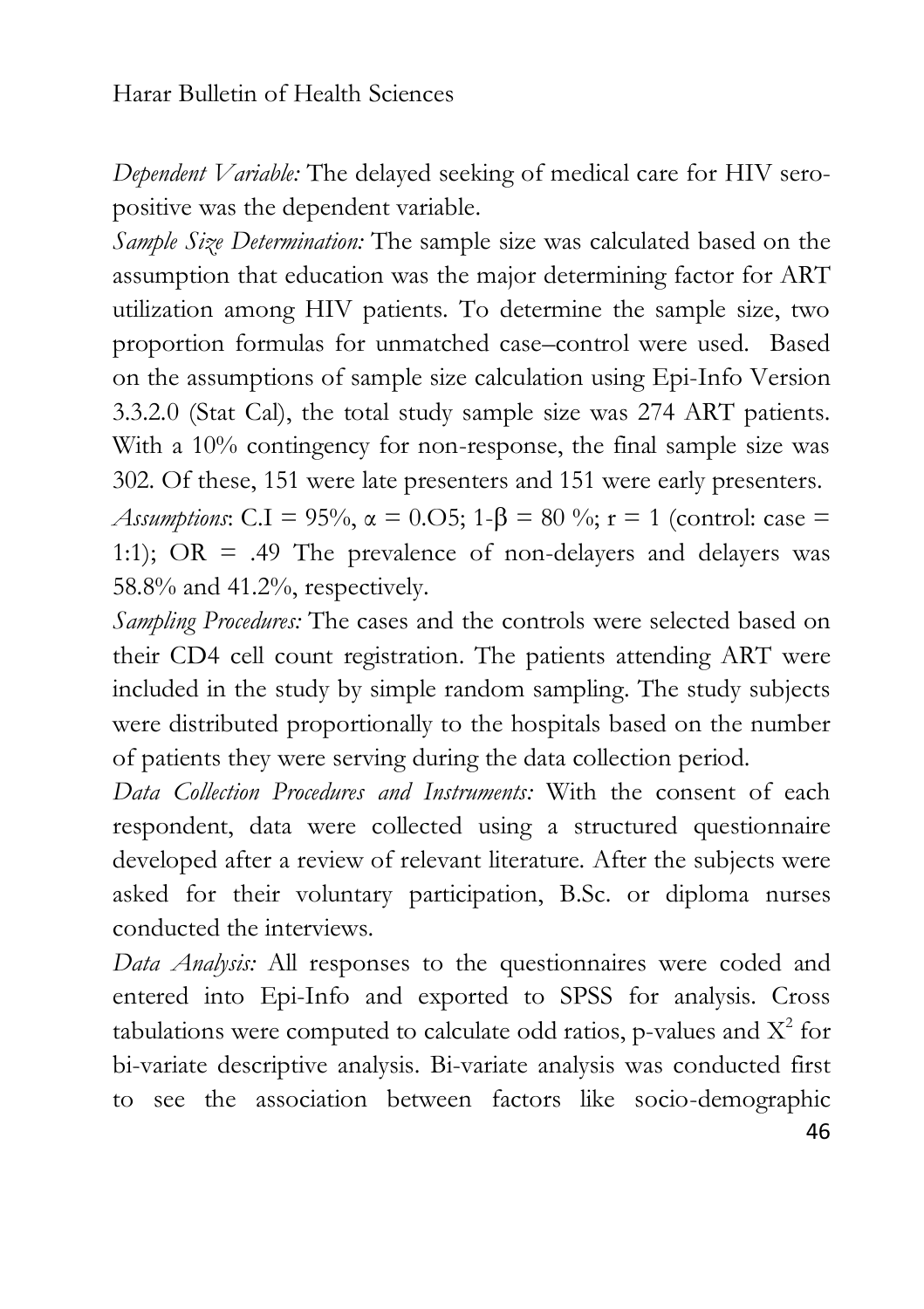*Dependent Variable:* The delayed seeking of medical care for HIV seropositive was the dependent variable.

*Sample Size Determination:* The sample size was calculated based on the assumption that education was the major determining factor for ART utilization among HIV patients. To determine the sample size, two proportion formulas for unmatched case–control were used. Based on the assumptions of sample size calculation using Epi-Info Version 3.3.2.0 (Stat Cal), the total study sample size was 274 ART patients. With a 10% contingency for non-response, the final sample size was 302. Of these, 151 were late presenters and 151 were early presenters.

*Assumptions*: C.I = 95%,  $\alpha$  = 0.05; 1- $\beta$  = 80 %; r = 1 (control: case = 1:1); OR = .49 The prevalence of non-delayers and delayers was 58.8% and 41.2%, respectively.

*Sampling Procedures:* The cases and the controls were selected based on their CD4 cell count registration. The patients attending ART were included in the study by simple random sampling. The study subjects were distributed proportionally to the hospitals based on the number of patients they were serving during the data collection period.

*Data Collection Procedures and Instruments:* With the consent of each respondent, data were collected using a structured questionnaire developed after a review of relevant literature. After the subjects were asked for their voluntary participation, B.Sc. or diploma nurses conducted the interviews.

*Data Analysis:* All responses to the questionnaires were coded and entered into Epi-Info and exported to SPSS for analysis. Cross tabulations were computed to calculate odd ratios, p-values and  $X^2$  for bi-variate descriptive analysis. Bi-variate analysis was conducted first to see the association between factors like socio-demographic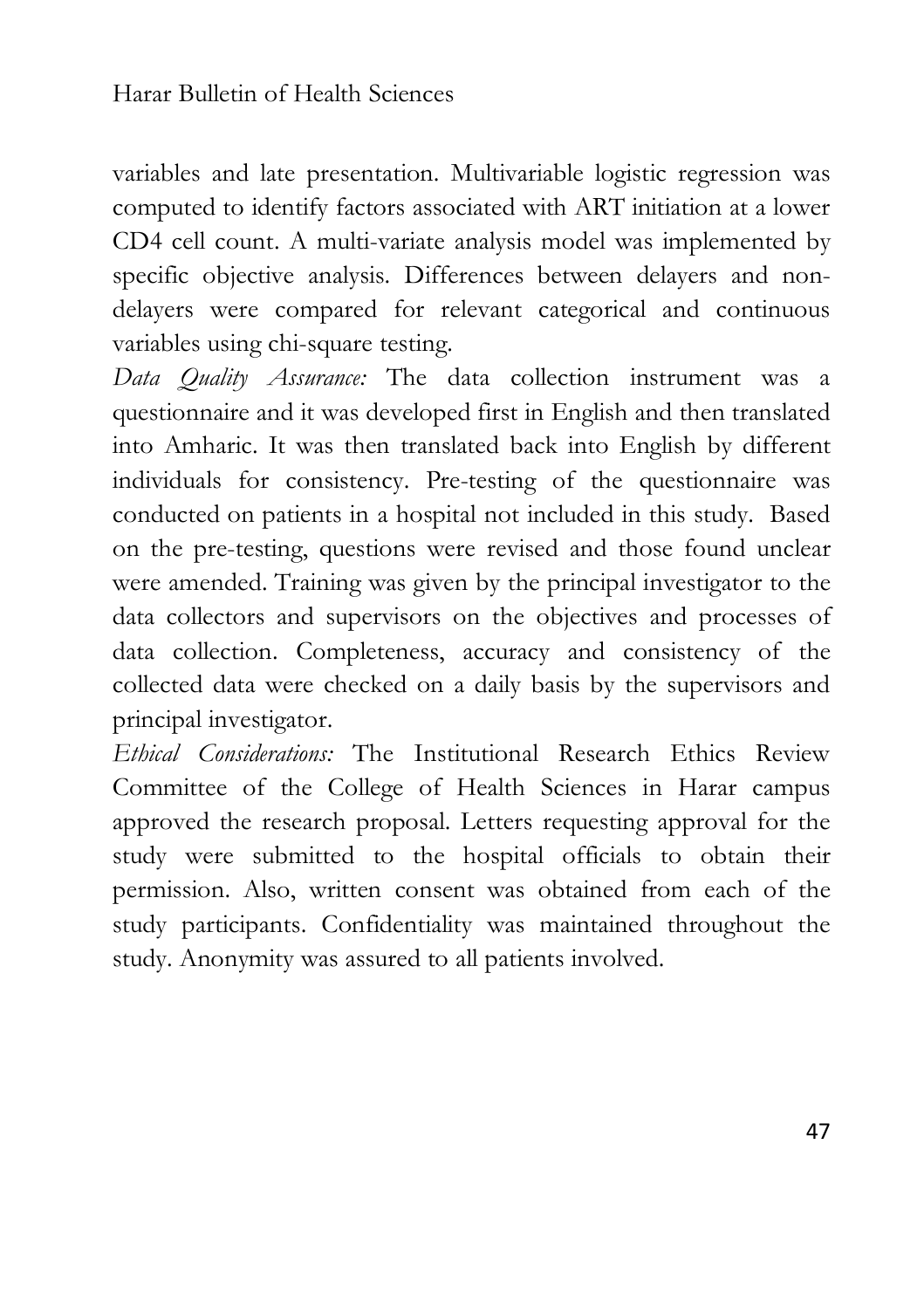variables and late presentation. Multivariable logistic regression was computed to identify factors associated with ART initiation at a lower CD4 cell count. A multi-variate analysis model was implemented by specific objective analysis. Differences between delayers and nondelayers were compared for relevant categorical and continuous variables using chi-square testing.

*Data Quality Assurance:* The data collection instrument was a questionnaire and it was developed first in English and then translated into Amharic. It was then translated back into English by different individuals for consistency. Pre-testing of the questionnaire was conducted on patients in a hospital not included in this study. Based on the pre-testing, questions were revised and those found unclear were amended. Training was given by the principal investigator to the data collectors and supervisors on the objectives and processes of data collection. Completeness, accuracy and consistency of the collected data were checked on a daily basis by the supervisors and principal investigator.

*Ethical Considerations:* The Institutional Research Ethics Review Committee of the College of Health Sciences in Harar campus approved the research proposal. Letters requesting approval for the study were submitted to the hospital officials to obtain their permission. Also, written consent was obtained from each of the study participants. Confidentiality was maintained throughout the study. Anonymity was assured to all patients involved.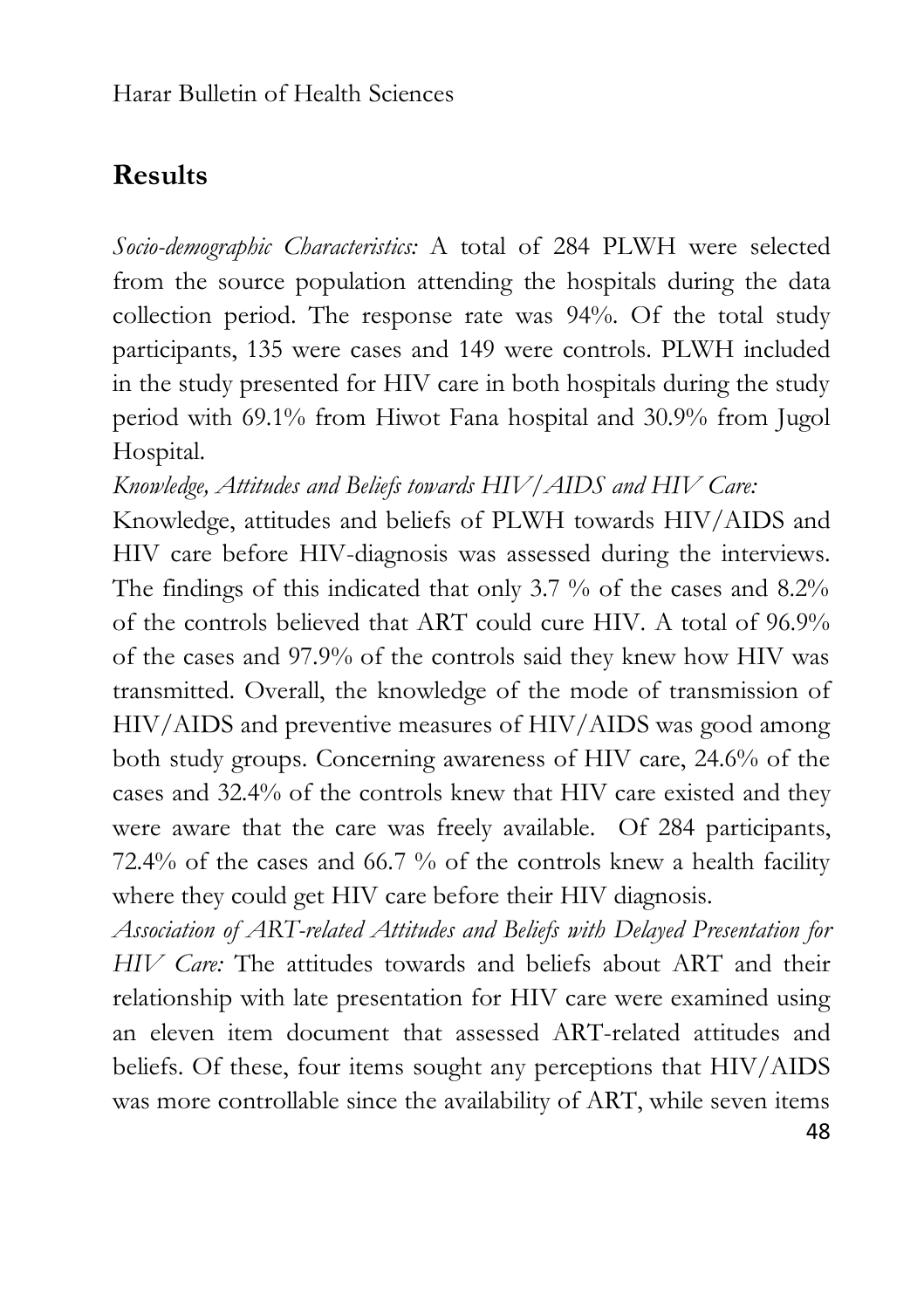## **Results**

*Socio-demographic Characteristics:* A total of 284 PLWH were selected from the source population attending the hospitals during the data collection period. The response rate was 94%. Of the total study participants, 135 were cases and 149 were controls. PLWH included in the study presented for HIV care in both hospitals during the study period with 69.1% from Hiwot Fana hospital and 30.9% from Jugol Hospital.

*Knowledge, Attitudes and Beliefs towards HIV/AIDS and HIV Care:*

Knowledge, attitudes and beliefs of PLWH towards HIV/AIDS and HIV care before HIV-diagnosis was assessed during the interviews. The findings of this indicated that only 3.7 % of the cases and 8.2% of the controls believed that ART could cure HIV. A total of 96.9% of the cases and 97.9% of the controls said they knew how HIV was transmitted. Overall, the knowledge of the mode of transmission of HIV/AIDS and preventive measures of HIV/AIDS was good among both study groups. Concerning awareness of HIV care, 24.6% of the cases and 32.4% of the controls knew that HIV care existed and they were aware that the care was freely available. Of 284 participants, 72.4% of the cases and 66.7 % of the controls knew a health facility where they could get HIV care before their HIV diagnosis.

48 *Association of ART-related Attitudes and Beliefs with Delayed Presentation for HIV Care:* The attitudes towards and beliefs about ART and their relationship with late presentation for HIV care were examined using an eleven item document that assessed ART-related attitudes and beliefs. Of these, four items sought any perceptions that HIV/AIDS was more controllable since the availability of ART, while seven items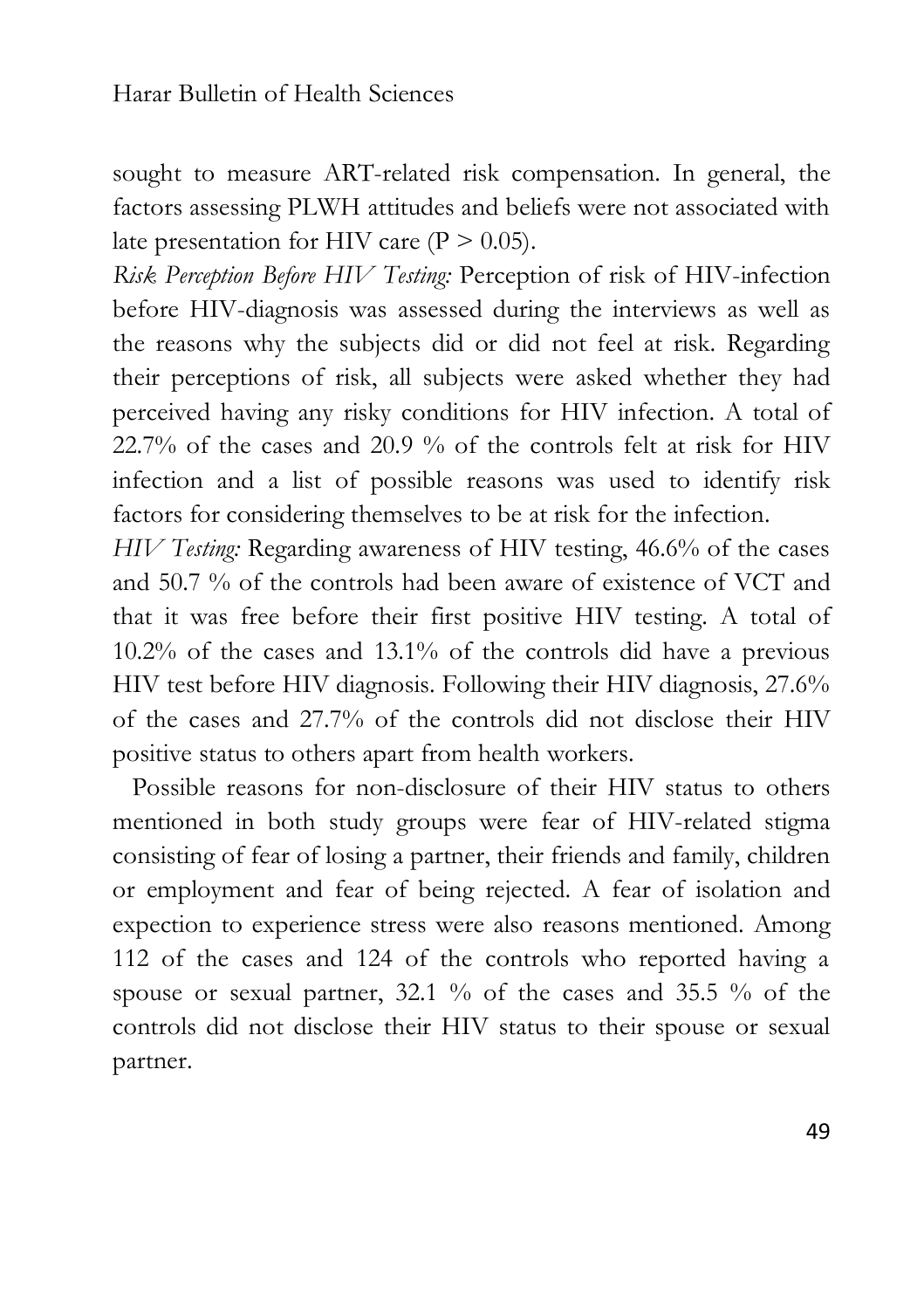sought to measure ART-related risk compensation. In general, the factors assessing PLWH attitudes and beliefs were not associated with late presentation for HIV care  $(P > 0.05)$ .

*Risk Perception Before HIV Testing:* Perception of risk of HIV-infection before HIV-diagnosis was assessed during the interviews as well as the reasons why the subjects did or did not feel at risk. Regarding their perceptions of risk, all subjects were asked whether they had perceived having any risky conditions for HIV infection. A total of 22.7% of the cases and 20.9 % of the controls felt at risk for HIV infection and a list of possible reasons was used to identify risk factors for considering themselves to be at risk for the infection.

*HIV Testing:* Regarding awareness of HIV testing, 46.6% of the cases and 50.7 % of the controls had been aware of existence of VCT and that it was free before their first positive HIV testing. A total of 10.2% of the cases and 13.1% of the controls did have a previous HIV test before HIV diagnosis. Following their HIV diagnosis, 27.6% of the cases and 27.7% of the controls did not disclose their HIV positive status to others apart from health workers.

 Possible reasons for non-disclosure of their HIV status to others mentioned in both study groups were fear of HIV-related stigma consisting of fear of losing a partner, their friends and family, children or employment and fear of being rejected. A fear of isolation and expection to experience stress were also reasons mentioned. Among 112 of the cases and 124 of the controls who reported having a spouse or sexual partner, 32.1 % of the cases and 35.5 % of the controls did not disclose their HIV status to their spouse or sexual partner.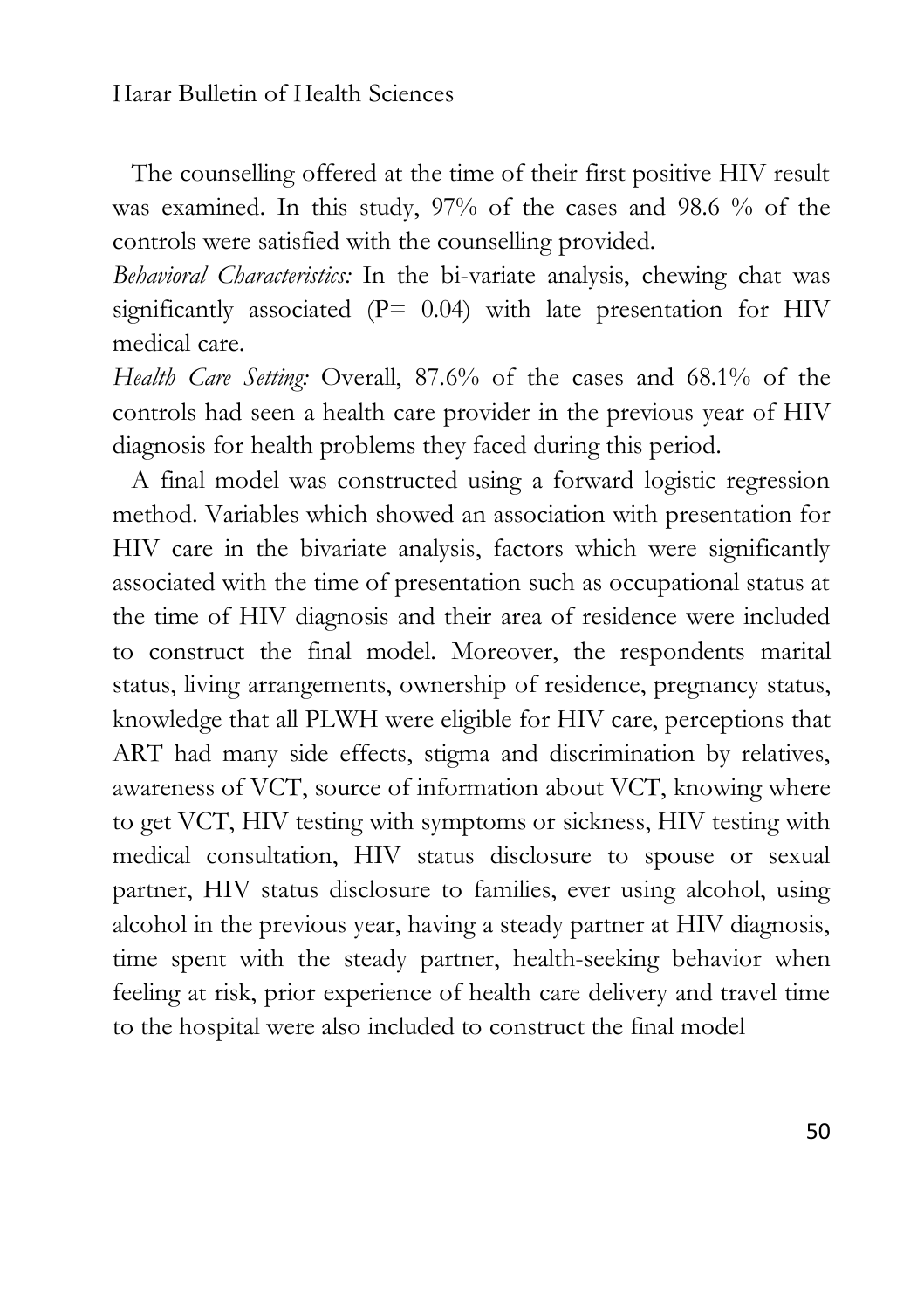The counselling offered at the time of their first positive HIV result was examined. In this study, 97% of the cases and 98.6 % of the controls were satisfied with the counselling provided.

*Behavioral Characteristics:* In the bi-variate analysis, chewing chat was significantly associated ( $P= 0.04$ ) with late presentation for HIV medical care.

*Health Care Setting:* Overall, 87.6% of the cases and 68.1% of the controls had seen a health care provider in the previous year of HIV diagnosis for health problems they faced during this period.

 A final model was constructed using a forward logistic regression method. Variables which showed an association with presentation for HIV care in the bivariate analysis, factors which were significantly associated with the time of presentation such as occupational status at the time of HIV diagnosis and their area of residence were included to construct the final model. Moreover, the respondents marital status, living arrangements, ownership of residence, pregnancy status, knowledge that all PLWH were eligible for HIV care, perceptions that ART had many side effects, stigma and discrimination by relatives, awareness of VCT, source of information about VCT, knowing where to get VCT, HIV testing with symptoms or sickness, HIV testing with medical consultation, HIV status disclosure to spouse or sexual partner, HIV status disclosure to families, ever using alcohol, using alcohol in the previous year, having a steady partner at HIV diagnosis, time spent with the steady partner, health-seeking behavior when feeling at risk, prior experience of health care delivery and travel time to the hospital were also included to construct the final model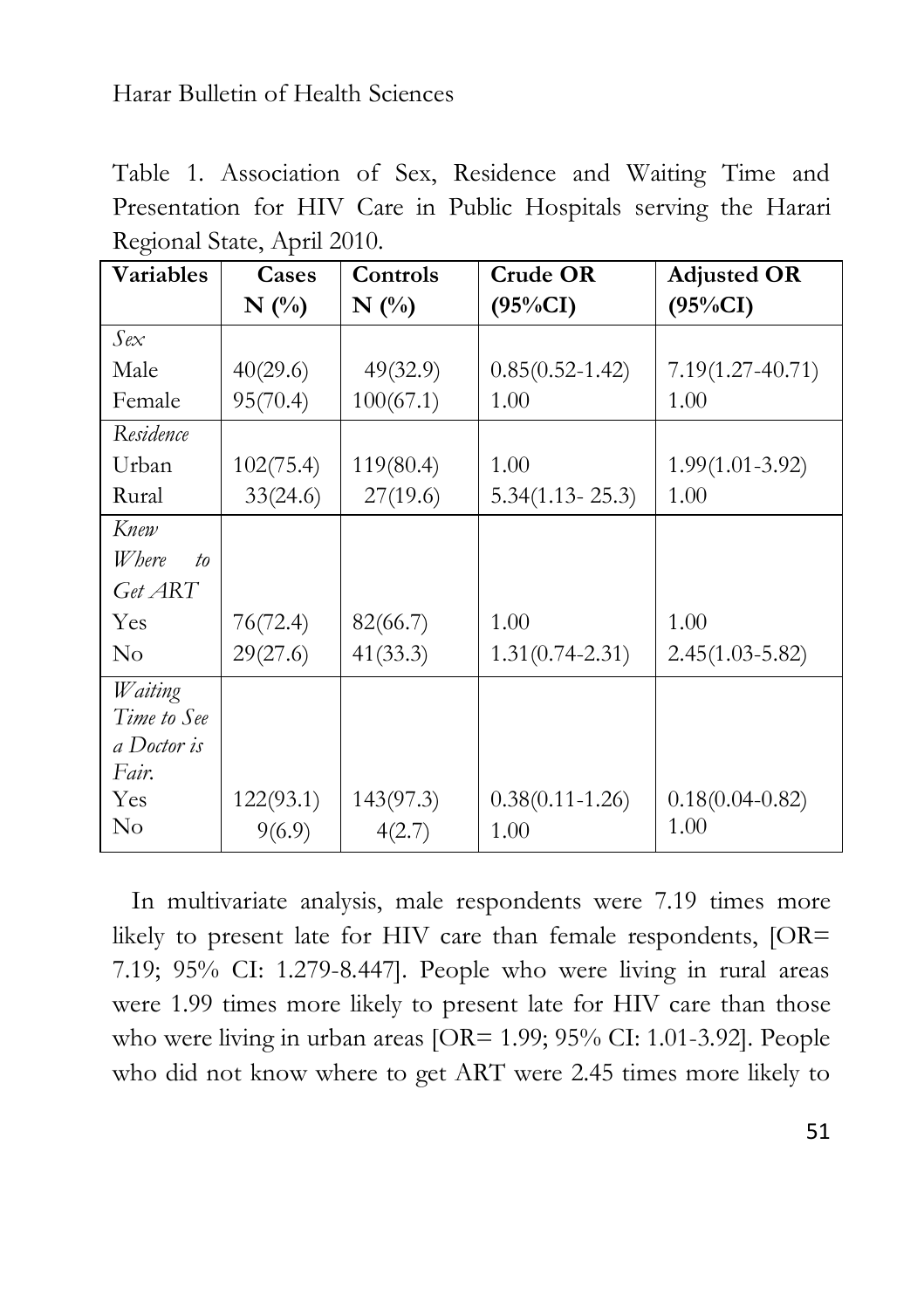Table 1. Association of Sex, Residence and Waiting Time and Presentation for HIV Care in Public Hospitals serving the Harari Regional State, April 2010.

| Variables           | Cases     | Controls  | <b>Crude OR</b>     | <b>Adjusted OR</b>   |
|---------------------|-----------|-----------|---------------------|----------------------|
|                     | $N$ (%)   | $N($ %)   | $(95\%CI)$          | $(95\%CI)$           |
| Sex                 |           |           |                     |                      |
| Male                | 40(29.6)  | 49(32.9)  | $0.85(0.52 - 1.42)$ | $7.19(1.27 - 40.71)$ |
| Female              | 95(70.4)  | 100(67.1) | 1.00                | 1.00                 |
| Residence           |           |           |                     |                      |
| Urban               | 102(75.4) | 119(80.4) | 1.00                | $1.99(1.01 - 3.92)$  |
| Rural               | 33(24.6)  | 27(19.6)  | $5.34(1.13 - 25.3)$ | 1.00                 |
| Knew                |           |           |                     |                      |
| <i>W</i> here<br>to |           |           |                     |                      |
| Get ART             |           |           |                     |                      |
| Yes                 | 76(72.4)  | 82(66.7)  | 1.00                | 1.00                 |
| $\rm No$            | 29(27.6)  | 41(33.3)  | $1.31(0.74 - 2.31)$ | $2.45(1.03 - 5.82)$  |
| Waiting             |           |           |                     |                      |
| Time to See         |           |           |                     |                      |
| a Doctor is         |           |           |                     |                      |
| Fair.               |           |           |                     |                      |
| Yes                 | 122(93.1) | 143(97.3) | $0.38(0.11 - 1.26)$ | $0.18(0.04 - 0.82)$  |
| $\rm No$            | 9(6.9)    | 4(2.7)    | 1.00                | 1.00                 |

 In multivariate analysis, male respondents were 7.19 times more likely to present late for HIV care than female respondents, [OR= 7.19; 95% CI: 1.279-8.447]. People who were living in rural areas were 1.99 times more likely to present late for HIV care than those who were living in urban areas [OR= 1.99; 95% CI: 1.01-3.92]. People who did not know where to get ART were 2.45 times more likely to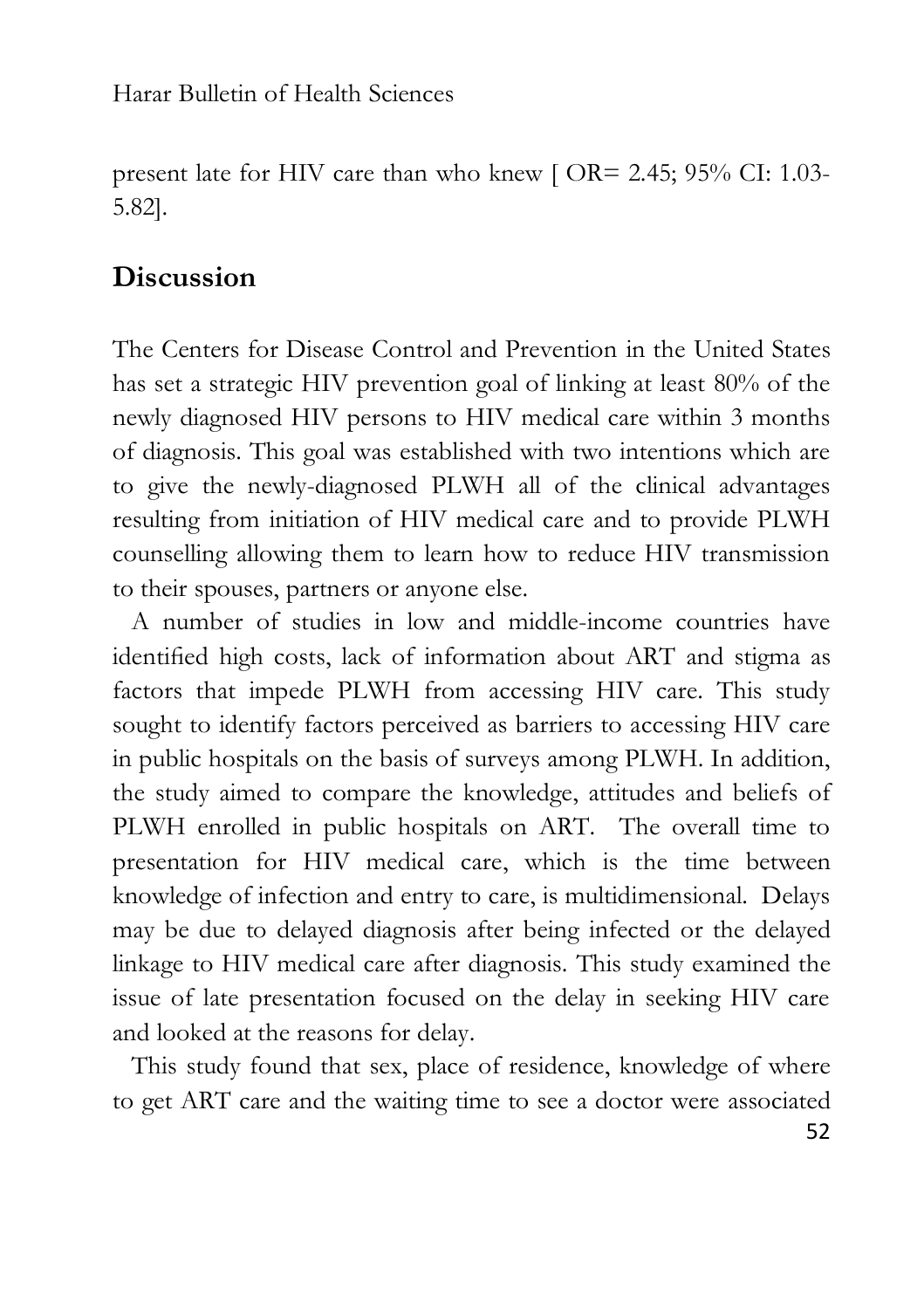present late for HIV care than who knew [ OR= 2.45; 95% CI: 1.03- 5.82].

### **Discussion**

The Centers for Disease Control and Prevention in the United States has set a strategic HIV prevention goal of linking at least 80% of the newly diagnosed HIV persons to HIV medical care within 3 months of diagnosis. This goal was established with two intentions which are to give the newly-diagnosed PLWH all of the clinical advantages resulting from initiation of HIV medical care and to provide PLWH counselling allowing them to learn how to reduce HIV transmission to their spouses, partners or anyone else.

 A number of studies in low and middle-income countries have identified high costs, lack of information about ART and stigma as factors that impede PLWH from accessing HIV care. This study sought to identify factors perceived as barriers to accessing HIV care in public hospitals on the basis of surveys among PLWH. In addition, the study aimed to compare the knowledge, attitudes and beliefs of PLWH enrolled in public hospitals on ART. The overall time to presentation for HIV medical care, which is the time between knowledge of infection and entry to care, is multidimensional. Delays may be due to delayed diagnosis after being infected or the delayed linkage to HIV medical care after diagnosis. This study examined the issue of late presentation focused on the delay in seeking HIV care and looked at the reasons for delay.

 This study found that sex, place of residence, knowledge of where to get ART care and the waiting time to see a doctor were associated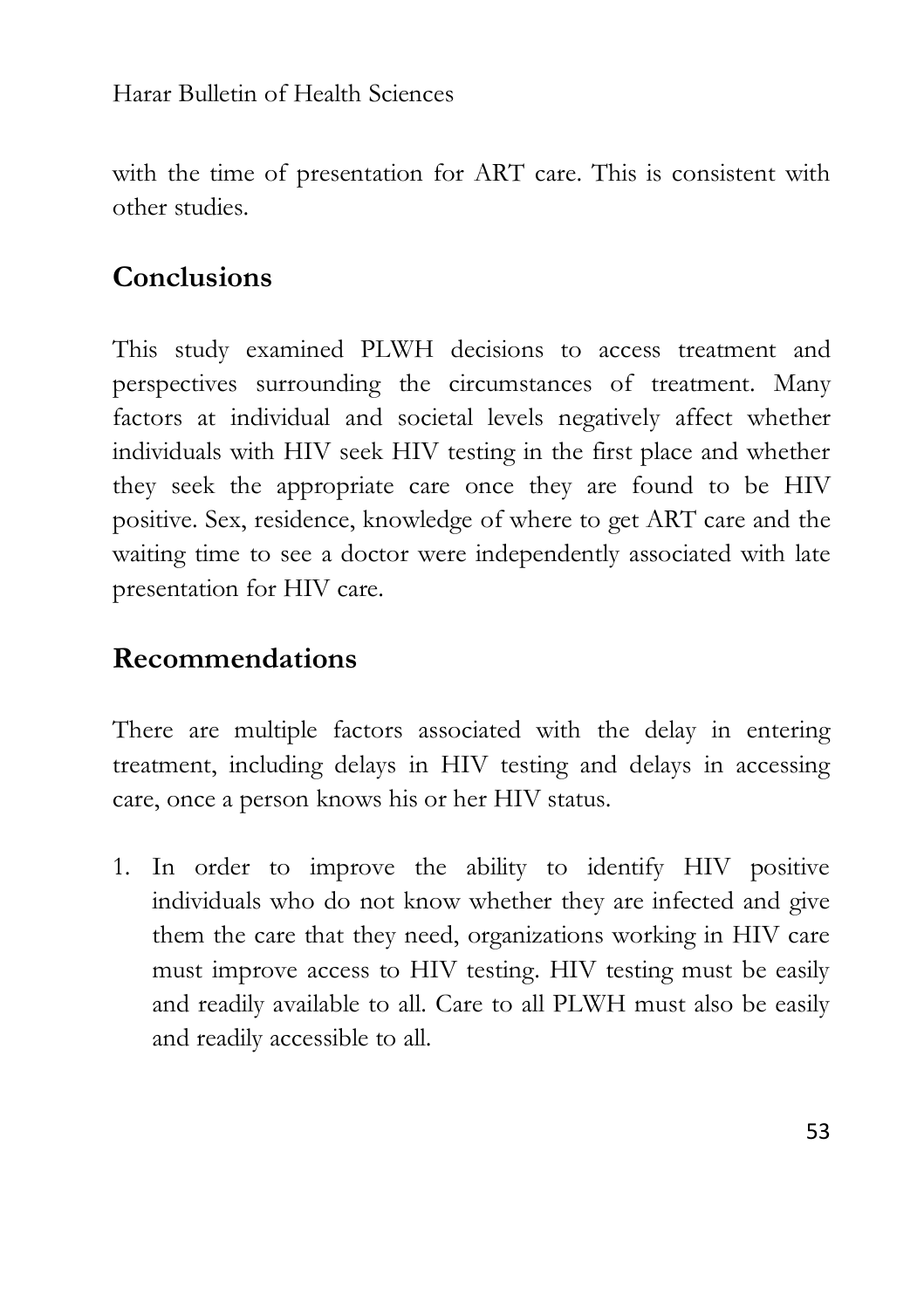with the time of presentation for ART care. This is consistent with other studies.

### **Conclusions**

This study examined PLWH decisions to access treatment and perspectives surrounding the circumstances of treatment. Many factors at individual and societal levels negatively affect whether individuals with HIV seek HIV testing in the first place and whether they seek the appropriate care once they are found to be HIV positive. Sex, residence, knowledge of where to get ART care and the waiting time to see a doctor were independently associated with late presentation for HIV care.

### **Recommendations**

There are multiple factors associated with the delay in entering treatment, including delays in HIV testing and delays in accessing care, once a person knows his or her HIV status.

1. In order to improve the ability to identify HIV positive individuals who do not know whether they are infected and give them the care that they need, organizations working in HIV care must improve access to HIV testing. HIV testing must be easily and readily available to all. Care to all PLWH must also be easily and readily accessible to all.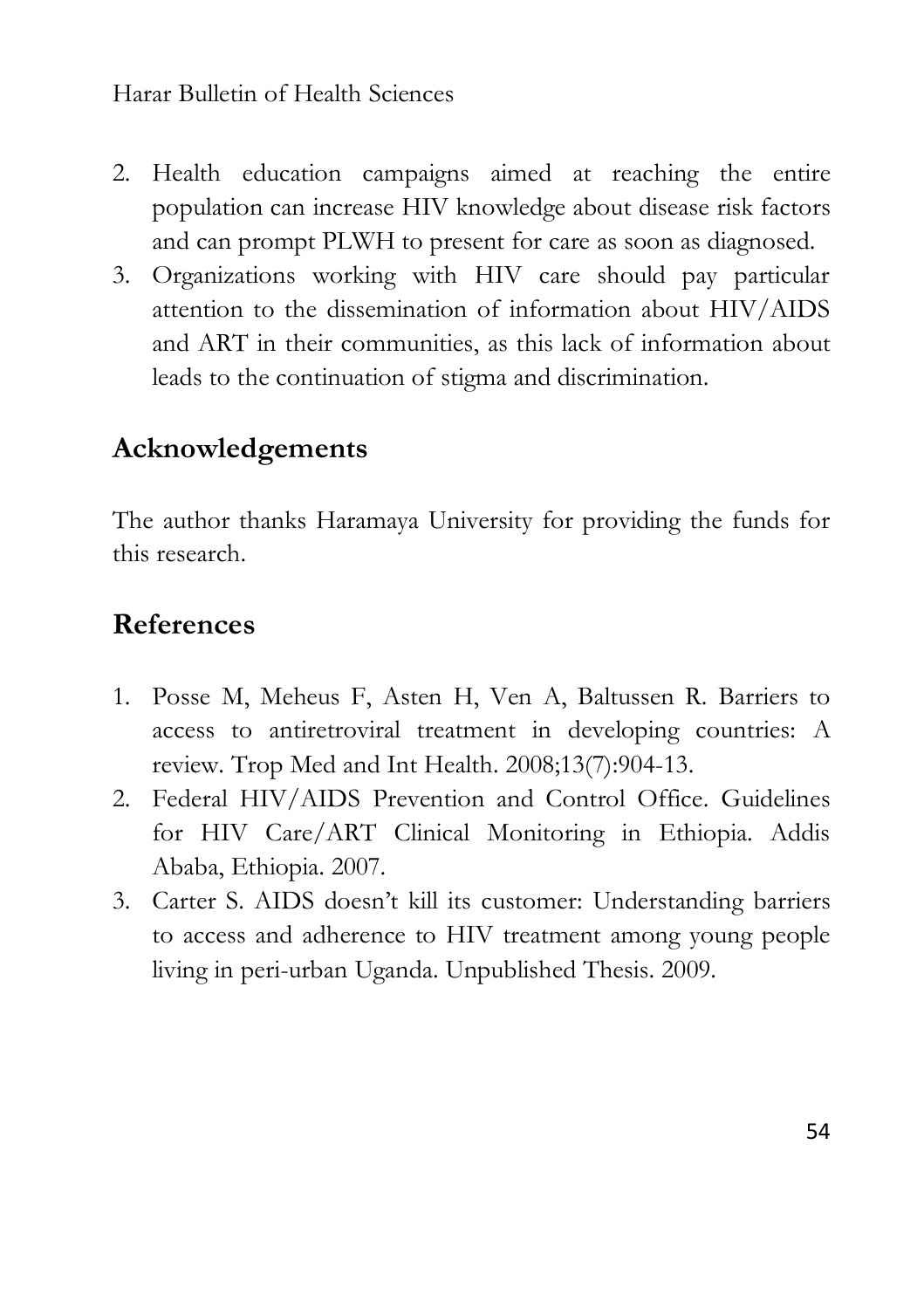- 2. Health education campaigns aimed at reaching the entire population can increase HIV knowledge about disease risk factors and can prompt PLWH to present for care as soon as diagnosed.
- 3. Organizations working with HIV care should pay particular attention to the dissemination of information about HIV/AIDS and ART in their communities, as this lack of information about leads to the continuation of stigma and discrimination.

### **Acknowledgements**

The author thanks Haramaya University for providing the funds for this research.

## **References**

- 1. Posse M, Meheus F, Asten H, Ven A, Baltussen R. Barriers to access to antiretroviral treatment in developing countries: A review. Trop Med and Int Health. 2008;13(7):904-13.
- 2. Federal HIV/AIDS Prevention and Control Office. Guidelines for HIV Care/ART Clinical Monitoring in Ethiopia. Addis Ababa, Ethiopia. 2007.
- 3. Carter S. AIDS doesn't kill its customer: Understanding barriers to access and adherence to HIV treatment among young people living in peri-urban Uganda. Unpublished Thesis. 2009.